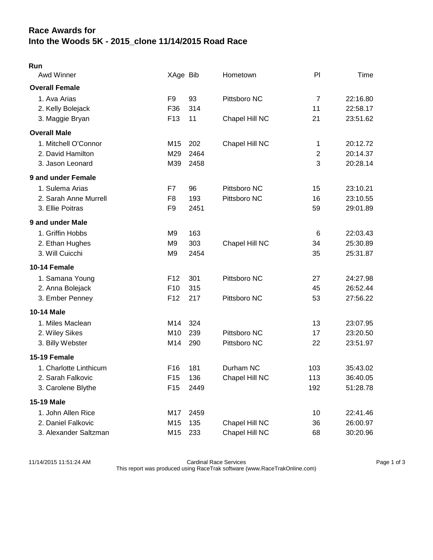## **Race Awards for Into the Woods 5K - 2015\_clone 11/14/2015 Road Race**

| ٠ |  |
|---|--|

| Awd Winner             | XAge Bib        |      | Hometown       | PI             | Time     |
|------------------------|-----------------|------|----------------|----------------|----------|
| <b>Overall Female</b>  |                 |      |                |                |          |
| 1. Ava Arias           | F9              | 93   | Pittsboro NC   | $\overline{7}$ | 22:16.80 |
| 2. Kelly Bolejack      | F36             | 314  |                | 11             | 22:58.17 |
| 3. Maggie Bryan        | F <sub>13</sub> | 11   | Chapel Hill NC | 21             | 23:51.62 |
| <b>Overall Male</b>    |                 |      |                |                |          |
| 1. Mitchell O'Connor   | M15             | 202  | Chapel Hill NC | $\mathbf 1$    | 20:12.72 |
| 2. David Hamilton      | M29             | 2464 |                | $\overline{2}$ | 20:14.37 |
| 3. Jason Leonard       | M39             | 2458 |                | 3              | 20:28.14 |
| 9 and under Female     |                 |      |                |                |          |
| 1. Sulema Arias        | F7              | 96   | Pittsboro NC   | 15             | 23:10.21 |
| 2. Sarah Anne Murrell  | F <sub>8</sub>  | 193  | Pittsboro NC   | 16             | 23:10.55 |
| 3. Ellie Poitras       | F <sub>9</sub>  | 2451 |                | 59             | 29:01.89 |
| 9 and under Male       |                 |      |                |                |          |
| 1. Griffin Hobbs       | M <sub>9</sub>  | 163  |                | $\,6$          | 22:03.43 |
| 2. Ethan Hughes        | M <sub>9</sub>  | 303  | Chapel Hill NC | 34             | 25:30.89 |
| 3. Will Cuicchi        | M9              | 2454 |                | 35             | 25:31.87 |
| 10-14 Female           |                 |      |                |                |          |
| 1. Samana Young        | F <sub>12</sub> | 301  | Pittsboro NC   | 27             | 24:27.98 |
| 2. Anna Bolejack       | F10             | 315  |                | 45             | 26:52.44 |
| 3. Ember Penney        | F12             | 217  | Pittsboro NC   | 53             | 27:56.22 |
| <b>10-14 Male</b>      |                 |      |                |                |          |
| 1. Miles Maclean       | M14             | 324  |                | 13             | 23:07.95 |
| 2. Wiley Sikes         | M <sub>10</sub> | 239  | Pittsboro NC   | 17             | 23:20.50 |
| 3. Billy Webster       | M14             | 290  | Pittsboro NC   | 22             | 23:51.97 |
| 15-19 Female           |                 |      |                |                |          |
| 1. Charlotte Linthicum | F16             | 181  | Durham NC      | 103            | 35:43.02 |
| 2. Sarah Falkovic      | F <sub>15</sub> | 136  | Chapel Hill NC | 113            | 36:40.05 |
| 3. Carolene Blythe     | F <sub>15</sub> | 2449 |                | 192            | 51:28.78 |
| <b>15-19 Male</b>      |                 |      |                |                |          |
| 1. John Allen Rice     | M17             | 2459 |                | 10             | 22:41.46 |
| 2. Daniel Falkovic     | M15             | 135  | Chapel Hill NC | 36             | 26:00.97 |
| 3. Alexander Saltzman  | M15             | 233  | Chapel Hill NC | 68             | 30:20.96 |

11/14/2015 11:51:24 AM Cardinal Race Services Page 1 of 3 This report was produced using RaceTrak software (www.RaceTrakOnline.com)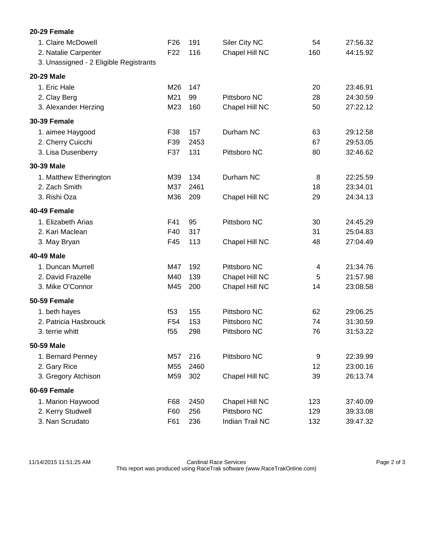| 20-29 Female                                                                         |                                    |            |                                 |           |                      |
|--------------------------------------------------------------------------------------|------------------------------------|------------|---------------------------------|-----------|----------------------|
| 1. Claire McDowell<br>2. Natalie Carpenter<br>3. Unassigned - 2 Eligible Registrants | F <sub>26</sub><br>F <sub>22</sub> | 191<br>116 | Siler City NC<br>Chapel Hill NC | 54<br>160 | 27:56.32<br>44:15.92 |
| <b>20-29 Male</b>                                                                    |                                    |            |                                 |           |                      |
| 1. Eric Hale                                                                         | M26                                | 147        |                                 | 20        | 23:46.91             |
| 2. Clay Berg                                                                         | M21                                | 99         | Pittsboro NC                    | 28        | 24:30.59             |
| 3. Alexander Herzing                                                                 | M23                                | 160        | Chapel Hill NC                  | 50        | 27:22.12             |
| <b>30-39 Female</b>                                                                  |                                    |            |                                 |           |                      |
| 1. aimee Haygood                                                                     | F38                                | 157        | Durham NC                       | 63        | 29:12.58             |
| 2. Cherry Cuicchi                                                                    | F39                                | 2453       |                                 | 67        | 29:53.05             |
| 3. Lisa Dusenberry                                                                   | F37                                | 131        | Pittsboro NC                    | 80        | 32:46.62             |
| 30-39 Male                                                                           |                                    |            |                                 |           |                      |
| 1. Matthew Etherington                                                               | M39                                | 134        | Durham NC                       | 8         | 22:25.59             |
| 2. Zach Smith                                                                        | M37                                | 2461       |                                 | 18        | 23:34.01             |
| 3. Rishi Oza                                                                         | M36                                | 209        | Chapel Hill NC                  | 29        | 24:34.13             |
| 40-49 Female                                                                         |                                    |            |                                 |           |                      |
| 1. Elizabeth Arias                                                                   | F41                                | 95         | Pittsboro NC                    | 30        | 24:45.29             |
| 2. Kari Maclean                                                                      | F40                                | 317        |                                 | 31        | 25:04.83             |
| 3. May Bryan                                                                         | F45                                | 113        | Chapel Hill NC                  | 48        | 27:04.49             |
| 40-49 Male                                                                           |                                    |            |                                 |           |                      |
| 1. Duncan Murrell                                                                    | M47                                | 192        | Pittsboro NC                    | 4         | 21:34.76             |
| 2. David Frazelle                                                                    | M40                                | 139        | Chapel Hill NC                  | 5         | 21:57.98             |
| 3. Mike O'Connor                                                                     | M45                                | 200        | Chapel Hill NC                  | 14        | 23:08.58             |
| 50-59 Female                                                                         |                                    |            |                                 |           |                      |
| 1. beth hayes                                                                        | f53                                | 155        | Pittsboro NC                    | 62        | 29:06.25             |
| 2. Patricia Hasbrouck                                                                | F <sub>54</sub>                    | 153        | Pittsboro NC                    | 74        | 31:30.59             |
| 3. terrie whitt                                                                      | f <sub>55</sub>                    | 298        | Pittsboro NC                    | 76        | 31:53.22             |
| 50-59 Male                                                                           |                                    |            |                                 |           |                      |
| 1. Bernard Penney                                                                    | M57                                | 216        | Pittsboro NC                    | 9         | 22:39.99             |
| 2. Gary Rice                                                                         | M55                                | 2460       |                                 | 12        | 23:00.16             |
| 3. Gregory Atchison                                                                  | M59                                | 302        | Chapel Hill NC                  | 39        | 26:13.74             |
| 60-69 Female                                                                         |                                    |            |                                 |           |                      |
| 1. Marion Haywood                                                                    | F68                                | 2450       | Chapel Hill NC                  | 123       | 37:40.09             |
| 2. Kerry Studwell                                                                    | F60                                | 256        | Pittsboro NC                    | 129       | 39:33.08             |
| 3. Nan Scrudato                                                                      | F61                                | 236        | Indian Trail NC                 | 132       | 39:47.32             |

11/14/2015 11:51:25 AM Cardinal Race Services Page 2 of 3 This report was produced using RaceTrak software (www.RaceTrakOnline.com)